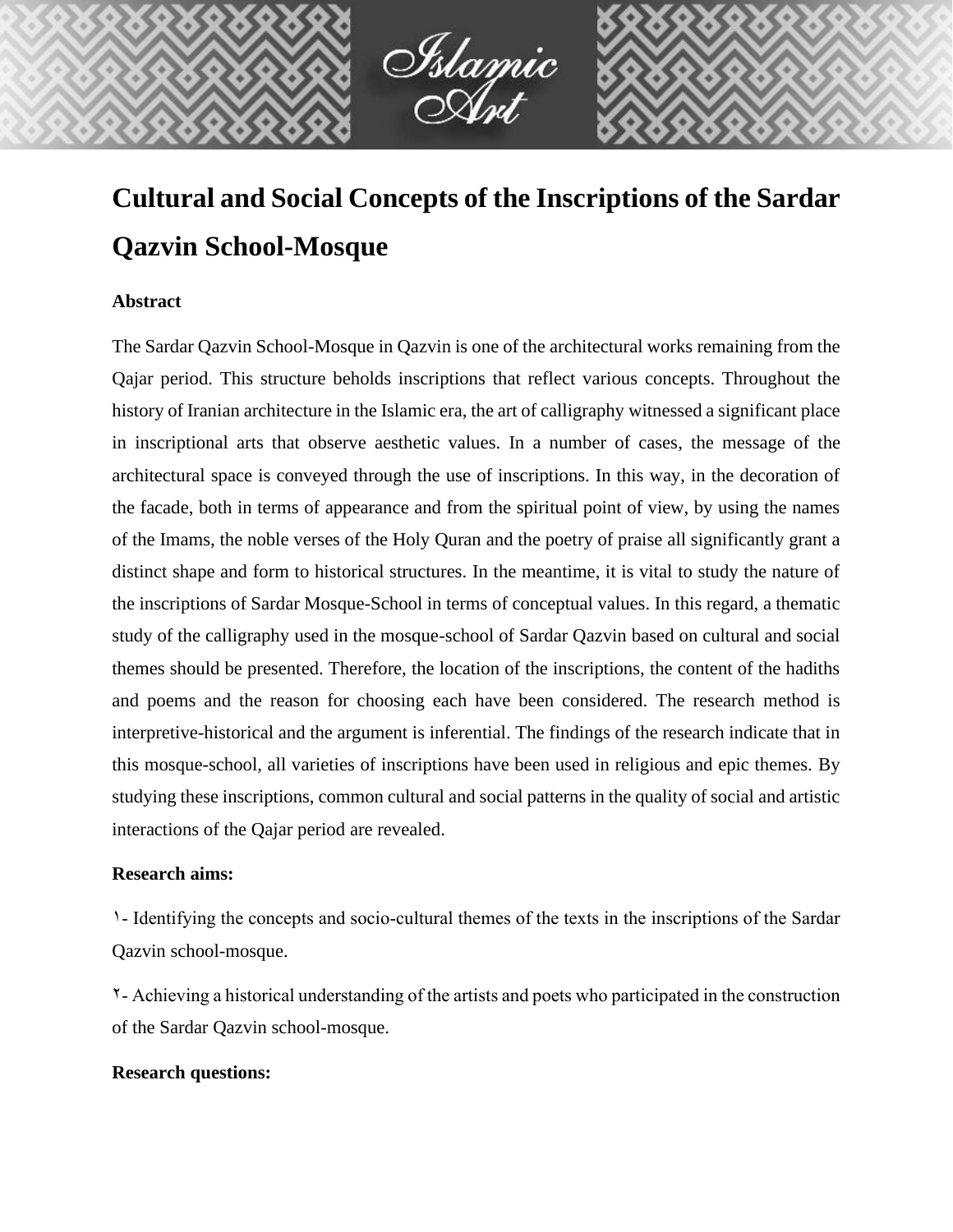# **Cultural and Social Concepts of the Inscriptions of the Sardar Qazvin School-Mosque**

Islamic<br>Ant

# **Abstract**

The Sardar Qazvin School-Mosque in Qazvin is one of the architectural works remaining from the Qajar period. This structure beholds inscriptions that reflect various concepts. Throughout the history of Iranian architecture in the Islamic era, the art of calligraphy witnessed a significant place in inscriptional arts that observe aesthetic values. In a number of cases, the message of the architectural space is conveyed through the use of inscriptions. In this way, in the decoration of the facade, both in terms of appearance and from the spiritual point of view, by using the names of the Imams, the noble verses of the Holy Quran and the poetry of praise all significantly grant a distinct shape and form to historical structures. In the meantime, it is vital to study the nature of the inscriptions of Sardar Mosque-School in terms of conceptual values. In this regard, a thematic study of the calligraphy used in the mosque-school of Sardar Qazvin based on cultural and social themes should be presented. Therefore, the location of the inscriptions, the content of the hadiths and poems and the reason for choosing each have been considered. The research method is interpretive-historical and the argument is inferential. The findings of the research indicate that in this mosque-school, all varieties of inscriptions have been used in religious and epic themes. By studying these inscriptions, common cultural and social patterns in the quality of social and artistic interactions of the Qajar period are revealed.

## **Research aims:**

1- Identifying the concepts and socio-cultural themes of the texts in the inscriptions of the Sardar Qazvin school-mosque.

2- Achieving a historical understanding of the artists and poets who participated in the construction of the Sardar Qazvin school-mosque.

#### **Research questions:**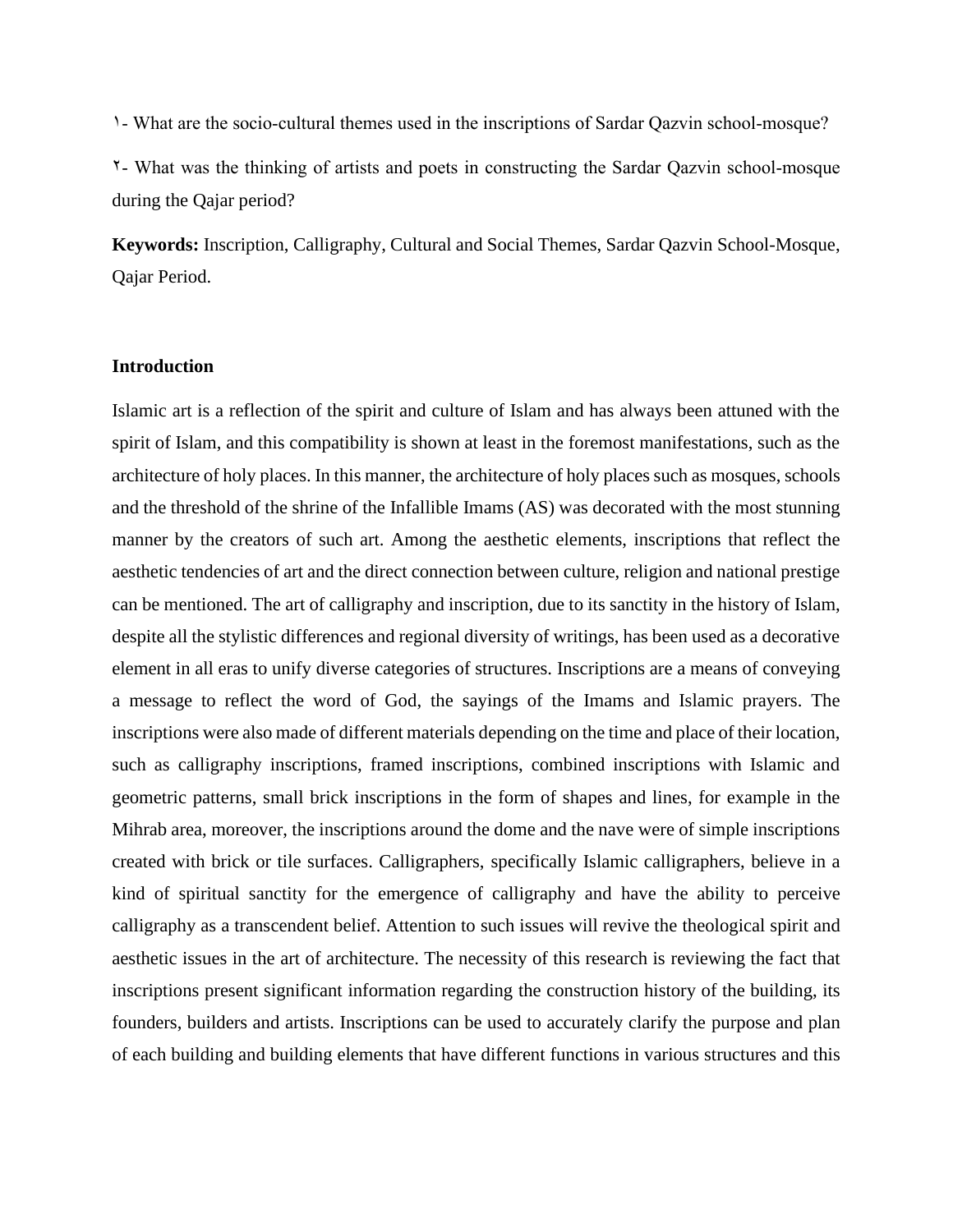1- What are the socio-cultural themes used in the inscriptions of Sardar Qazvin school-mosque?

2- What was the thinking of artists and poets in constructing the Sardar Qazvin school-mosque during the Qajar period?

**Keywords:** Inscription, Calligraphy, Cultural and Social Themes, Sardar Qazvin School-Mosque, Qajar Period.

#### **Introduction**

Islamic art is a reflection of the spirit and culture of Islam and has always been attuned with the spirit of Islam, and this compatibility is shown at least in the foremost manifestations, such as the architecture of holy places. In this manner, the architecture of holy places such as mosques, schools and the threshold of the shrine of the Infallible Imams (AS) was decorated with the most stunning manner by the creators of such art. Among the aesthetic elements, inscriptions that reflect the aesthetic tendencies of art and the direct connection between culture, religion and national prestige can be mentioned. The art of calligraphy and inscription, due to its sanctity in the history of Islam, despite all the stylistic differences and regional diversity of writings, has been used as a decorative element in all eras to unify diverse categories of structures. Inscriptions are a means of conveying a message to reflect the word of God, the sayings of the Imams and Islamic prayers. The inscriptions were also made of different materials depending on the time and place of their location, such as calligraphy inscriptions, framed inscriptions, combined inscriptions with Islamic and geometric patterns, small brick inscriptions in the form of shapes and lines, for example in the Mihrab area, moreover, the inscriptions around the dome and the nave were of simple inscriptions created with brick or tile surfaces. Calligraphers, specifically Islamic calligraphers, believe in a kind of spiritual sanctity for the emergence of calligraphy and have the ability to perceive calligraphy as a transcendent belief. Attention to such issues will revive the theological spirit and aesthetic issues in the art of architecture. The necessity of this research is reviewing the fact that inscriptions present significant information regarding the construction history of the building, its founders, builders and artists. Inscriptions can be used to accurately clarify the purpose and plan of each building and building elements that have different functions in various structures and this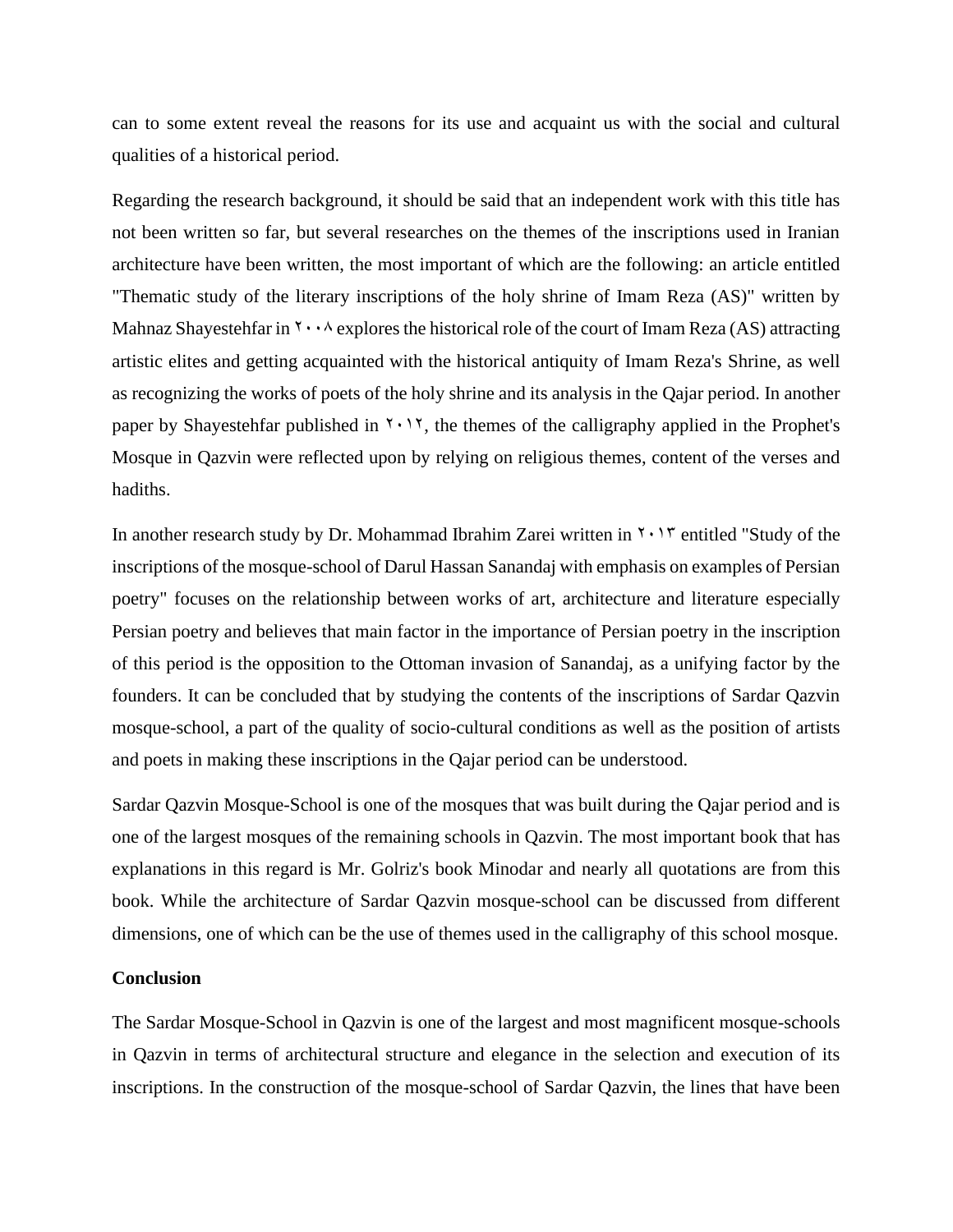can to some extent reveal the reasons for its use and acquaint us with the social and cultural qualities of a historical period.

Regarding the research background, it should be said that an independent work with this title has not been written so far, but several researches on the themes of the inscriptions used in Iranian architecture have been written, the most important of which are the following: an article entitled "Thematic study of the literary inscriptions of the holy shrine of Imam Reza (AS)" written by Mahnaz Shayestehfar in  $\gamma \cdot \beta$  explores the historical role of the court of Imam Reza (AS) attracting artistic elites and getting acquainted with the historical antiquity of Imam Reza's Shrine, as well as recognizing the works of poets of the holy shrine and its analysis in the Qajar period. In another paper by Shayestehfar published in  $\gamma$ ,  $\gamma$ , the themes of the calligraphy applied in the Prophet's Mosque in Qazvin were reflected upon by relying on religious themes, content of the verses and hadiths.

In another research study by Dr. Mohammad Ibrahim Zarei written in  $\gamma \cdot \gamma$  entitled "Study of the inscriptions of the mosque-school of Darul Hassan Sanandaj with emphasis on examples of Persian poetry" focuses on the relationship between works of art, architecture and literature especially Persian poetry and believes that main factor in the importance of Persian poetry in the inscription of this period is the opposition to the Ottoman invasion of Sanandaj, as a unifying factor by the founders. It can be concluded that by studying the contents of the inscriptions of Sardar Qazvin mosque-school, a part of the quality of socio-cultural conditions as well as the position of artists and poets in making these inscriptions in the Qajar period can be understood.

Sardar Qazvin Mosque-School is one of the mosques that was built during the Qajar period and is one of the largest mosques of the remaining schools in Qazvin. The most important book that has explanations in this regard is Mr. Golriz's book Minodar and nearly all quotations are from this book. While the architecture of Sardar Qazvin mosque-school can be discussed from different dimensions, one of which can be the use of themes used in the calligraphy of this school mosque.

### **Conclusion**

The Sardar Mosque-School in Qazvin is one of the largest and most magnificent mosque-schools in Qazvin in terms of architectural structure and elegance in the selection and execution of its inscriptions. In the construction of the mosque-school of Sardar Qazvin, the lines that have been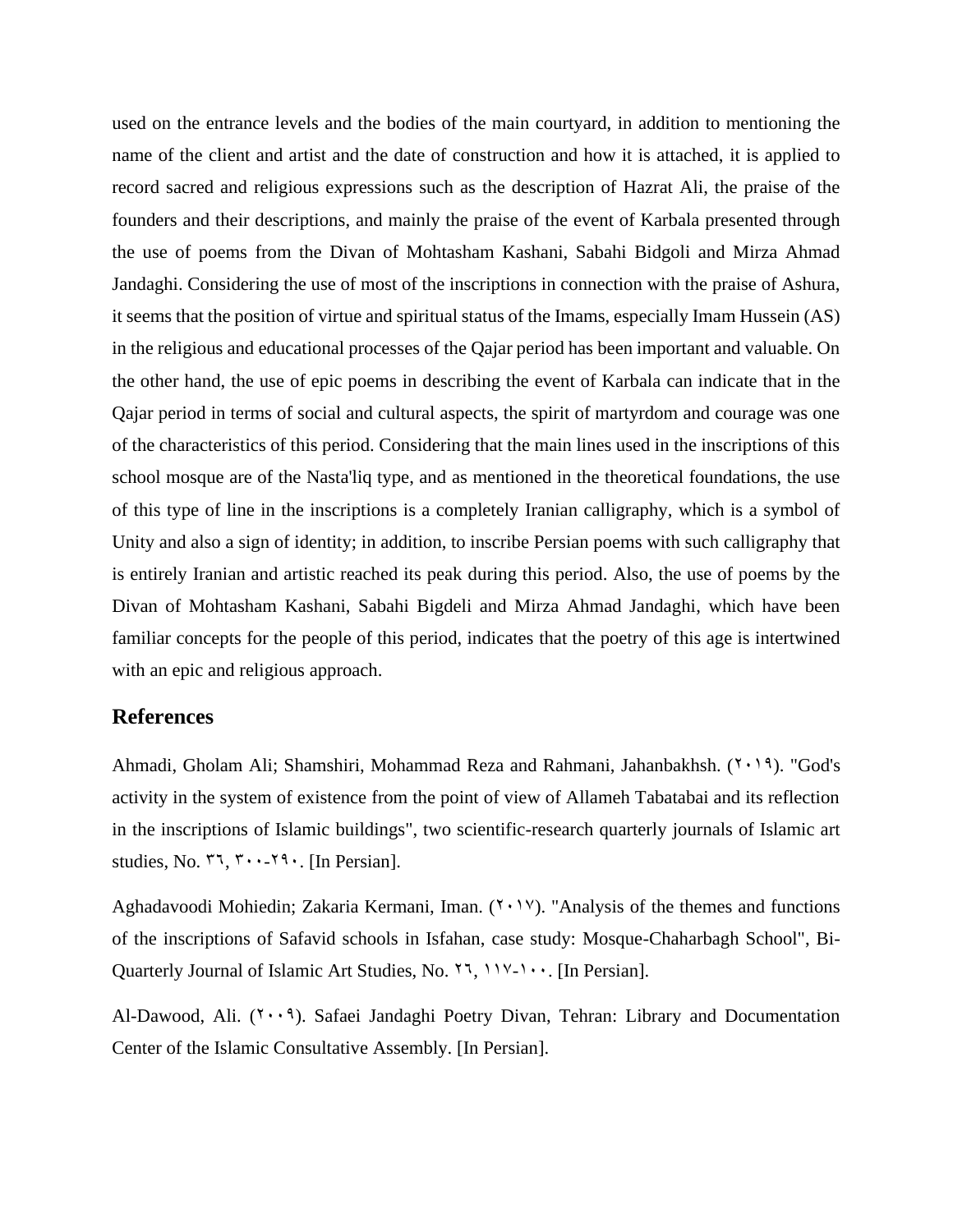used on the entrance levels and the bodies of the main courtyard, in addition to mentioning the name of the client and artist and the date of construction and how it is attached, it is applied to record sacred and religious expressions such as the description of Hazrat Ali, the praise of the founders and their descriptions, and mainly the praise of the event of Karbala presented through the use of poems from the Divan of Mohtasham Kashani, Sabahi Bidgoli and Mirza Ahmad Jandaghi. Considering the use of most of the inscriptions in connection with the praise of Ashura, it seems that the position of virtue and spiritual status of the Imams, especially Imam Hussein (AS) in the religious and educational processes of the Qajar period has been important and valuable. On the other hand, the use of epic poems in describing the event of Karbala can indicate that in the Qajar period in terms of social and cultural aspects, the spirit of martyrdom and courage was one of the characteristics of this period. Considering that the main lines used in the inscriptions of this school mosque are of the Nasta'liq type, and as mentioned in the theoretical foundations, the use of this type of line in the inscriptions is a completely Iranian calligraphy, which is a symbol of Unity and also a sign of identity; in addition, to inscribe Persian poems with such calligraphy that is entirely Iranian and artistic reached its peak during this period. Also, the use of poems by the Divan of Mohtasham Kashani, Sabahi Bigdeli and Mirza Ahmad Jandaghi, which have been familiar concepts for the people of this period, indicates that the poetry of this age is intertwined with an epic and religious approach.

# **References**

Ahmadi, Gholam Ali; Shamshiri, Mohammad Reza and Rahmani, Jahanbakhsh. (7,19). "God's activity in the system of existence from the point of view of Allameh Tabatabai and its reflection in the inscriptions of Islamic buildings", two scientific-research quarterly journals of Islamic art studies, No.  $77, 7 \cdots 79$ . [In Persian].

Aghadavoodi Mohiedin; Zakaria Kermani, Iman.  $(Y \cdot Y)$ . "Analysis of the themes and functions of the inscriptions of Safavid schools in Isfahan, case study: Mosque-Chaharbagh School", Bi-Quarterly Journal of Islamic Art Studies, No.  $1, 11, 11, 10$ . [In Persian].

Al-Dawood, Ali.  $(1 \cdot 1)$ . Safaei Jandaghi Poetry Divan, Tehran: Library and Documentation Center of the Islamic Consultative Assembly. [In Persian].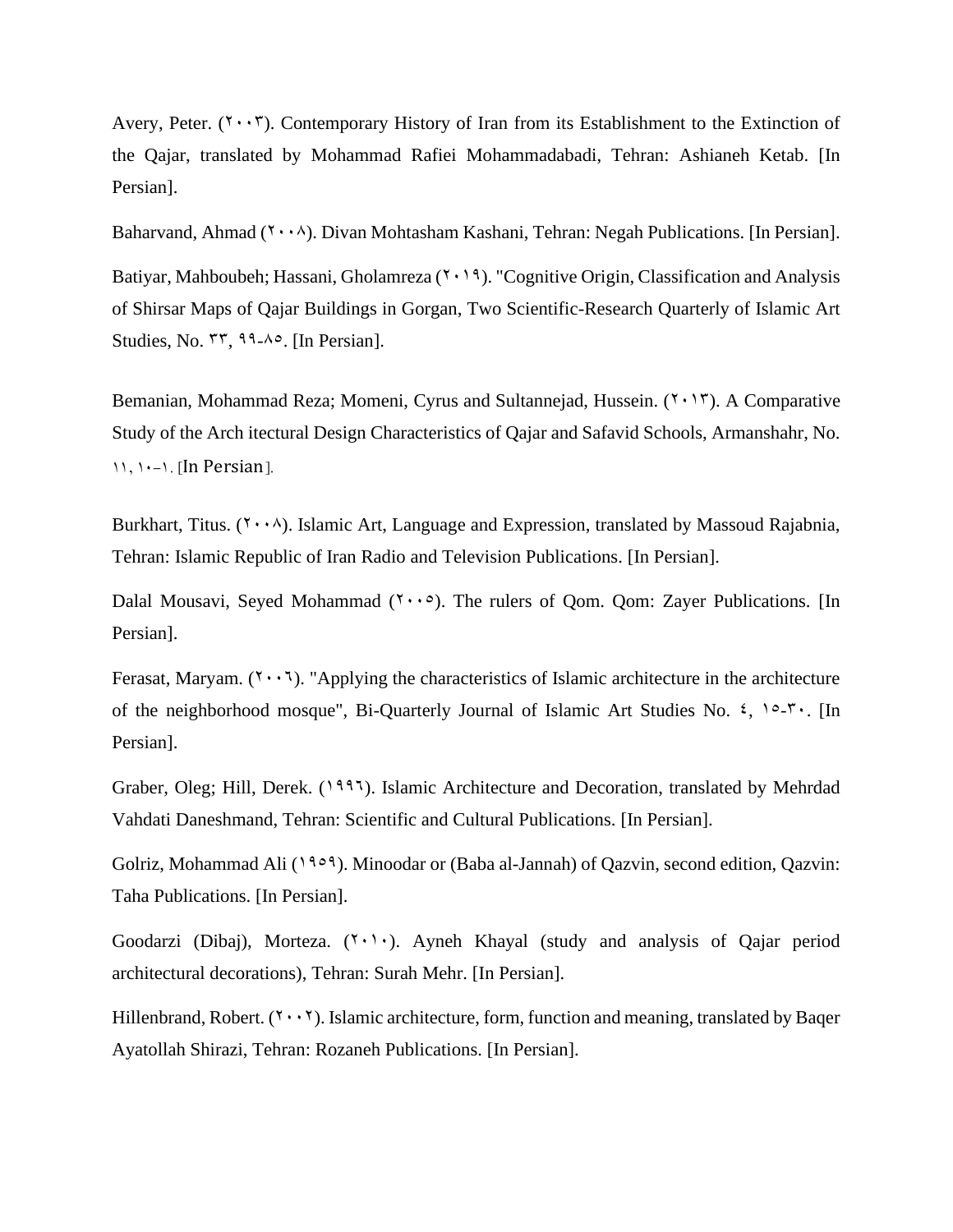Avery, Peter.  $(7 \cdot 7)$ . Contemporary History of Iran from its Establishment to the Extinction of the Qajar, translated by Mohammad Rafiei Mohammadabadi, Tehran: Ashianeh Ketab. [In Persian].

Baharvand, Ahmad  $(1 \cdot \cdot \cdot)$ . Divan Mohtasham Kashani, Tehran: Negah Publications. [In Persian].

Batiyar, Mahboubeh; Hassani, Gholamreza  $(7 \cdot 19)$ . "Cognitive Origin, Classification and Analysis of Shirsar Maps of Qajar Buildings in Gorgan, Two Scientific-Research Quarterly of Islamic Art Studies, No.  $\mathsf{ST}, \mathsf{99-} \circ$ . [In Persian].

Bemanian, Mohammad Reza; Momeni, Cyrus and Sultannejad, Hussein.  $(7 \cdot 17)$ . A Comparative Study of the Arch itectural Design Characteristics of Qajar and Safavid Schools, Armanshahr, No.  $11, 11$ -1. [In Persian].

Burkhart, Titus.  $(1 \cdot \cdot \cdot)$ . Islamic Art, Language and Expression, translated by Massoud Rajabnia, Tehran: Islamic Republic of Iran Radio and Television Publications. [In Persian].

Dalal Mousavi, Seyed Mohammad  $(1 \cdot \cdot \circ)$ . The rulers of Qom. Qom: Zayer Publications. [In Persian].

Ferasat, Maryam.  $(1 \cdot 1)$ . "Applying the characteristics of Islamic architecture in the architecture of the neighborhood mosque", Bi-Quarterly Journal of Islamic Art Studies No.  $\zeta$ ,  $\circ$ - $\zeta$ . [In Persian].

Graber, Oleg; Hill, Derek. (1995). Islamic Architecture and Decoration, translated by Mehrdad Vahdati Daneshmand, Tehran: Scientific and Cultural Publications. [In Persian].

Golriz, Mohammad Ali (1909). Minoodar or (Baba al-Jannah) of Qazvin, second edition, Qazvin: Taha Publications. [In Persian].

Goodarzi (Dibaj), Morteza.  $(7 \cdot 1)$ . Ayneh Khayal (study and analysis of Qajar period architectural decorations), Tehran: Surah Mehr. [In Persian].

Hillenbrand, Robert.  $(2 \cdot \cdot \cdot)$ . Islamic architecture, form, function and meaning, translated by Baqer Ayatollah Shirazi, Tehran: Rozaneh Publications. [In Persian].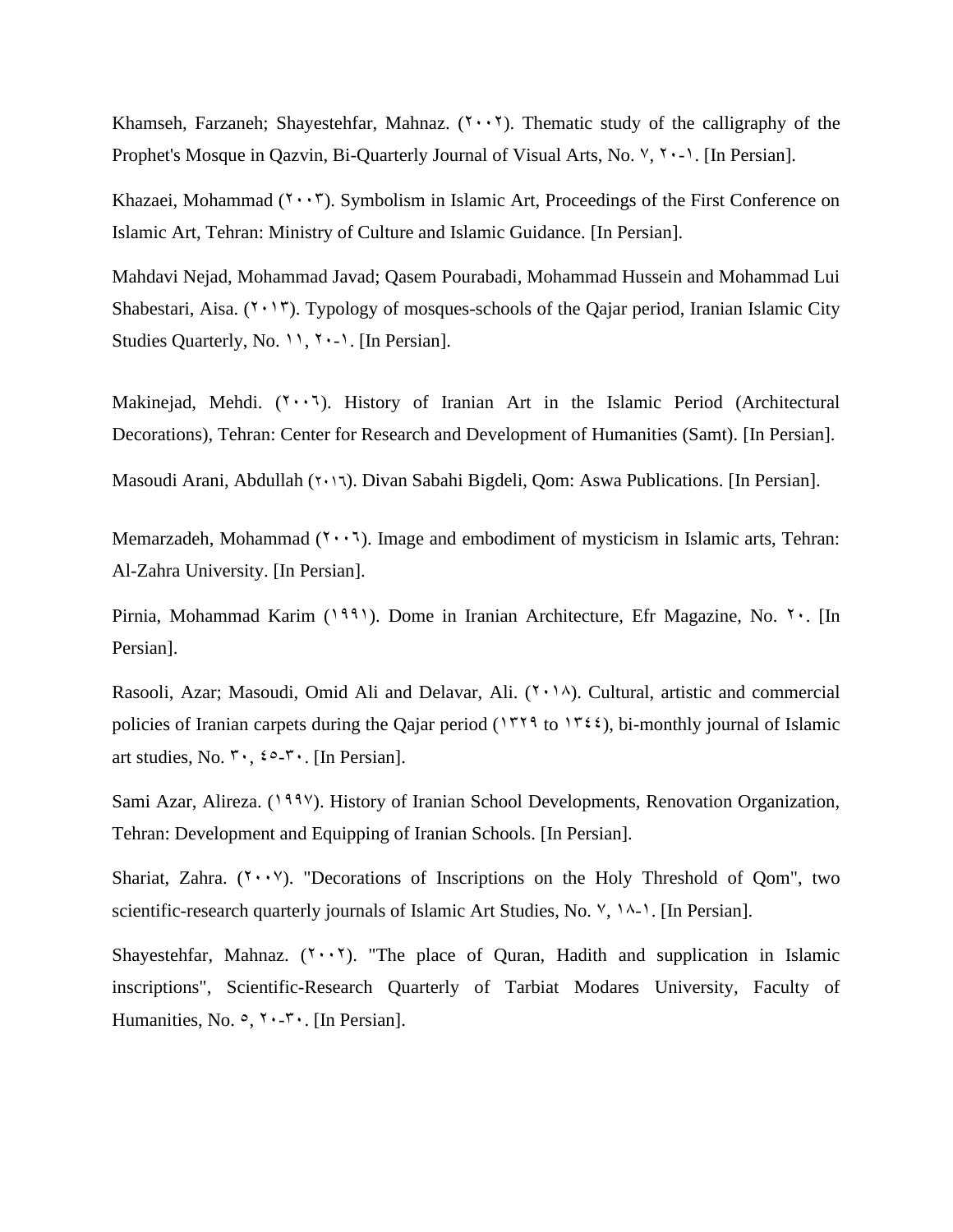Khamseh, Farzaneh; Shayestehfar, Mahnaz.  $(7 \cdot \cdot 7)$ . Thematic study of the calligraphy of the Prophet's Mosque in Qazvin, Bi-Quarterly Journal of Visual Arts, No.  $\forall$ ,  $\forall$   $\cdot$ - $\land$ . [In Persian].

Khazaei, Mohammad  $(7 \cdot \cdot 7)$ . Symbolism in Islamic Art, Proceedings of the First Conference on Islamic Art, Tehran: Ministry of Culture and Islamic Guidance. [In Persian].

Mahdavi Nejad, Mohammad Javad; Qasem Pourabadi, Mohammad Hussein and Mohammad Lui Shabestari, Aisa.  $(2.17)$ . Typology of mosques-schools of the Qajar period, Iranian Islamic City Studies Quarterly, No. 11,  $\gamma$  -1. [In Persian].

Makinejad, Mehdi.  $(2\cdot \cdot 7)$ . History of Iranian Art in the Islamic Period (Architectural Decorations), Tehran: Center for Research and Development of Humanities (Samt). [In Persian].

Masoudi Arani, Abdullah (2016). Divan Sabahi Bigdeli, Qom: Aswa Publications. [In Persian].

Memarzadeh, Mohammad  $(1 \cdot \cdot 1)$ . Image and embodiment of mysticism in Islamic arts, Tehran: Al-Zahra University. [In Persian].

Pirnia, Mohammad Karim (1991). Dome in Iranian Architecture, Efr Magazine, No. 7. [In Persian].

Rasooli, Azar; Masoudi, Omid Ali and Delavar, Ali.  $(1 \cdot 1)$ . Cultural, artistic and commercial policies of Iranian carpets during the Qajar period (1539 to 1544), bi-monthly journal of Islamic art studies, No.  $\mathbf{v} \cdot$ ,  $\mathbf{z} \circ \mathbf{v} \cdot$ . [In Persian].

Sami Azar, Alireza. (1997). History of Iranian School Developments, Renovation Organization, Tehran: Development and Equipping of Iranian Schools. [In Persian].

Shariat, Zahra.  $(Y \cdot Y)$ . "Decorations of Inscriptions on the Holy Threshold of Qom", two scientific-research quarterly journals of Islamic Art Studies, No.  $\forall$ ,  $\land \land \land$ . [In Persian].

Shayestehfar, Mahnaz.  $(Y \cdot Y)$ . "The place of Quran, Hadith and supplication in Islamic inscriptions", Scientific-Research Quarterly of Tarbiat Modares University, Faculty of Humanities, No.  $\circ$ ,  $\circ$ ,  $\circ$ ,  $\circ$ ,  $\circ$ , [In Persian].